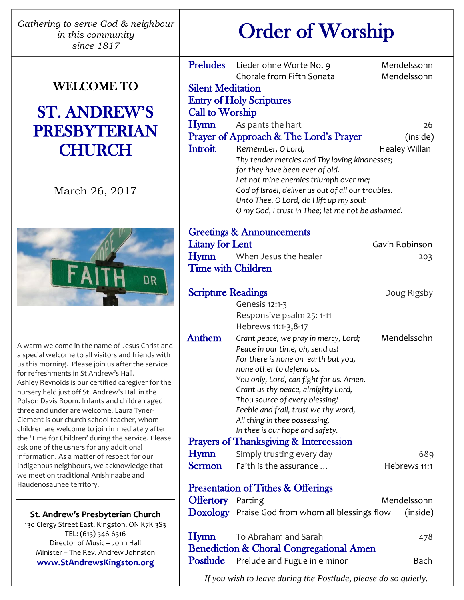| Gathering to serve God & neighbour |
|------------------------------------|
| in this community                  |
| since $1817$                       |

# WELCOME TO

# ST. ANDREW'S PRESBYTERIAN **CHURCH**

March 26, 2017



A warm welcome in the name of Jesus Christ and a special welcome to all visitors and friends with us this morning. Please join us after the service for refreshments in St Andrew's Hall. Ashley Reynolds is our certified caregiver for the nursery held just off St. Andrew's Hall in the Polson Davis Room. Infants and children aged three and under are welcome. Laura Tyner-Clement is our church school teacher, whom children are welcome to join immediately after the 'Time for Children' during the service. Please ask one of the ushers for any additional information. As a matter of respect for our Indigenous neighbours, we acknowledge that we meet on traditional Anishinaabe and Haudenosaunee territory.

**St. Andrew's Presbyterian Church** 130 Clergy Street East, Kingston, ON K7K 3S3 TEL: (613) 546-6316

Director of Music – John Hall Minister – The Rev. Andrew Johnston **www.StAndrewsKingston.org**

j

# Order of Worship

|                           | Preludes Lieder ohne Worte No. 9                                         | Mendelssohn    |  |  |
|---------------------------|--------------------------------------------------------------------------|----------------|--|--|
|                           | Chorale from Fifth Sonata                                                | Mendelssohn    |  |  |
| <b>Silent Meditation</b>  |                                                                          |                |  |  |
|                           | <b>Entry of Holy Scriptures</b>                                          |                |  |  |
| <b>Call to Worship</b>    |                                                                          |                |  |  |
| Hymn                      | As pants the hart                                                        | 26             |  |  |
|                           | <b>Prayer of Approach &amp; The Lord's Prayer</b>                        | (inside)       |  |  |
| Introit                   | Remember, O Lord,                                                        | Healey Willan  |  |  |
|                           | Thy tender mercies and Thy loving kindnesses;                            |                |  |  |
|                           | for they have been ever of old.<br>Let not mine enemies triumph over me; |                |  |  |
|                           | God of Israel, deliver us out of all our troubles.                       |                |  |  |
|                           | Unto Thee, O Lord, do I lift up my soul:                                 |                |  |  |
|                           | O my God, I trust in Thee; let me not be ashamed.                        |                |  |  |
|                           |                                                                          |                |  |  |
|                           | <b>Greetings &amp; Announcements</b>                                     |                |  |  |
| <b>Litany for Lent</b>    |                                                                          | Gavin Robinson |  |  |
| Hymn                      | When Jesus the healer                                                    | 203            |  |  |
| <b>Time with Children</b> |                                                                          |                |  |  |
|                           |                                                                          |                |  |  |
| <b>Scripture Readings</b> |                                                                          | Doug Rigsby    |  |  |
|                           | Genesis 12:1-3                                                           |                |  |  |
|                           | Responsive psalm 25: 1-11<br>Hebrews 11:1-3, 8-17                        |                |  |  |
| <b>Anthem</b>             | Grant peace, we pray in mercy, Lord;                                     | Mendelssohn    |  |  |
|                           | Peace in our time, oh, send us!                                          |                |  |  |
|                           | For there is none on earth but you,                                      |                |  |  |
|                           | none other to defend us.                                                 |                |  |  |
|                           | You only, Lord, can fight for us. Amen.                                  |                |  |  |
|                           | Grant us thy peace, almighty Lord,                                       |                |  |  |
|                           | Thou source of every blessing!<br>Feeble and frail, trust we thy word,   |                |  |  |
|                           | All thing in thee possessing.                                            |                |  |  |
|                           | In thee is our hope and safety.                                          |                |  |  |
|                           | Prayers of Thanksgiving & Intercession                                   |                |  |  |
| Hymn                      | Simply trusting every day                                                | 689            |  |  |
| <b>Sermon</b>             | Faith is the assurance                                                   | Hebrews 11:1   |  |  |
|                           |                                                                          |                |  |  |
|                           | <b>Presentation of Tithes &amp; Offerings</b>                            |                |  |  |
| <b>Offertory</b> Parting  |                                                                          | Mendelssohn    |  |  |
|                           | Doxology Praise God from whom all blessings flow                         | (inside)       |  |  |
|                           |                                                                          |                |  |  |
| Hymn                      | To Abraham and Sarah                                                     | 478            |  |  |
|                           | <b>Benediction &amp; Choral Congregational Amen</b>                      |                |  |  |
| <b>Postlude</b>           | Prelude and Fugue in e minor                                             | Bach           |  |  |
|                           |                                                                          |                |  |  |

*If you wish to leave during the Postlude, please do so quietly.*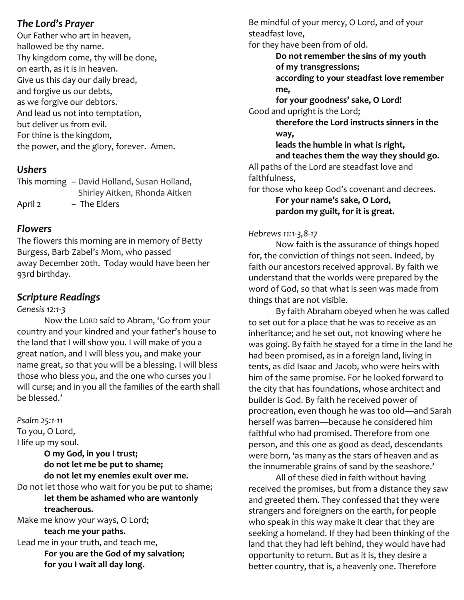#### *The Lord's Prayer*

Our Father who art in heaven, hallowed be thy name. Thy kingdom come, thy will be done, on earth, as it is in heaven. Give us this day our daily bread, and forgive us our debts, as we forgive our debtors. And lead us not into temptation, but deliver us from evil. For thine is the kingdom, the power, and the glory, forever. Amen.

# *Ushers*

This morning – David Holland, Susan Holland, Shirley Aitken, Rhonda Aitken April 2 - The Elders

# *Flowers*

The flowers this morning are in memory of Betty Burgess, Barb Zabel's Mom, who passed away December 20th. Today would have been her 93rd birthday.

# *Scripture Readings*

#### *Genesis 12:1-3*

Now the LORD said to Abram, 'Go from your country and your kindred and your father's house to the land that I will show you. I will make of you a great nation, and I will bless you, and make your name great, so that you will be a blessing. I will bless those who bless you, and the one who curses you I will curse; and in you all the families of the earth shall be blessed.'

*Psalm 25:1-11* To you, O Lord, I life up my soul. **O my God, in you I trust; do not let me be put to shame; do not let my enemies exult over me.** Do not let those who wait for you be put to shame; **let them be ashamed who are wantonly treacherous.** Make me know your ways, O Lord; **teach me your paths.**

Lead me in your truth, and teach me, **For you are the God of my salvation; for you I wait all day long.**

Be mindful of your mercy, O Lord, and of your steadfast love,

for they have been from of old.

**Do not remember the sins of my youth of my transgressions;**

**according to your steadfast love remember me,**

**for your goodness' sake, O Lord!** Good and upright is the Lord;

**therefore the Lord instructs sinners in the way,**

**leads the humble in what is right, and teaches them the way they should go.** All paths of the Lord are steadfast love and faithfulness,

for those who keep God's covenant and decrees.

**For your name's sake, O Lord, pardon my guilt, for it is great.**

#### *Hebrews 11:1-3,8-17*

Now faith is the assurance of things hoped for, the conviction of things not seen. Indeed, by faith our ancestors received approval. By faith we understand that the worlds were prepared by the word of God, so that what is seen was made from things that are not visible.

By faith Abraham obeyed when he was called to set out for a place that he was to receive as an inheritance; and he set out, not knowing where he was going. By faith he stayed for a time in the land he had been promised, as in a foreign land, living in tents, as did Isaac and Jacob, who were heirs with him of the same promise. For he looked forward to the city that has foundations, whose architect and builder is God. By faith he received power of procreation, even though he was too old—and Sarah herself was barren—because he considered him faithful who had promised. Therefore from one person, and this one as good as dead, descendants were born, 'as many as the stars of heaven and as the innumerable grains of sand by the seashore.'

All of these died in faith without having received the promises, but from a distance they saw and greeted them. They confessed that they were strangers and foreigners on the earth, for people who speak in this way make it clear that they are seeking a homeland. If they had been thinking of the land that they had left behind, they would have had opportunity to return. But as it is, they desire a better country, that is, a heavenly one. Therefore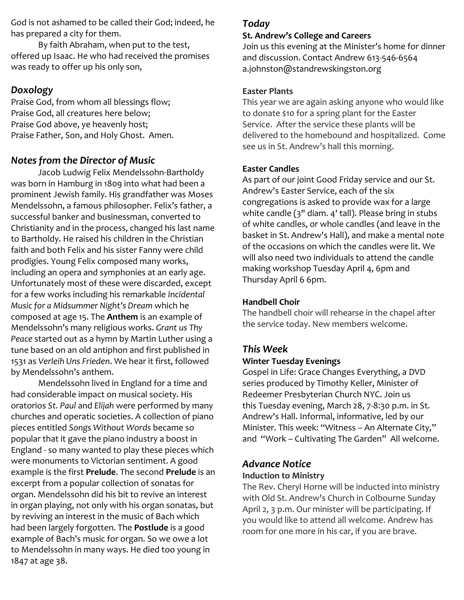God is not ashamed to be called their God; indeed, he has prepared a city for them.

By faith Abraham, when put to the test, offered up Isaac. He who had received the promises was ready to offer up his only son,

# *Doxology*

Praise God, from whom all blessings flow; Praise God, all creatures here below; Praise God above, ye heavenly host; Praise Father, Son, and Holy Ghost. Amen.

# *Notes from the Director of Music*

Jacob Ludwig Felix Mendelssohn-Bartholdy was born in Hamburg in 1809 into what had been a prominent Jewish family. His grandfather was Moses Mendelssohn, a famous philosopher. Felix's father, a successful banker and businessman, converted to Christianity and in the process, changed his last name to Bartholdy. He raised his children in the Christian faith and both Felix and his sister Fanny were child prodigies. Young Felix composed many works, including an opera and symphonies at an early age. Unfortunately most of these were discarded, except for a few works including his remarkable *Incidental Music for a Midsummer Night's Dream* which he composed at age 15. The **Anthem** is an example of Mendelssohn's many religious works. *Grant us Thy Peace* started out as a hymn by Martin Luther using a tune based on an old antiphon and first published in 1531 as *Verleih Uns Frieden*. We hear it first, followed by Mendelssohn's anthem.

Mendelssohn lived in England for a time and had considerable impact on musical society. His oratorios *St. Paul* and *Elijah* were performed by many churches and operatic societies. A collection of piano pieces entitled *Songs Without Words* became so popular that it gave the piano industry a boost in England - so many wanted to play these pieces which were monuments to Victorian sentiment. A good example is the first **Prelude**. The second **Prelude** is an excerpt from a popular collection of sonatas for organ. Mendelssohn did his bit to revive an interest in organ playing, not only with his organ sonatas, but by reviving an interest in the music of Bach which had been largely forgotten. The **Postlude** is a good example of Bach's music for organ. So we owe a lot to Mendelssohn in many ways. He died too young in 1847 at age 38.

# *Today*

#### **St. Andrew's College and Careers**

Join us this evening at the Minister's home for dinner and discussion. Contact Andrew 613-546-6564 a.johnston@standrewskingston.org

#### **Easter Plants**

This year we are again asking anyone who would like to donate \$10 for a spring plant for the Easter Service. After the service these plants will be delivered to the homebound and hospitalized. Come see us in St. Andrew's hall this morning.

#### **Easter Candles**

As part of our joint Good Friday service and our St. Andrew's Easter Service, each of the six congregations is asked to provide wax for a large white candle (3" diam. 4' tall). Please bring in stubs of white candles, or whole candles (and leave in the basket in St. Andrew's Hall), and make a mental note of the occasions on which the candles were lit. We will also need two individuals to attend the candle making workshop Tuesday April 4, 6pm and Thursday April 6 6pm.

#### **Handbell Choir**

The handbell choir will rehearse in the chapel after the service today. New members welcome.

# *This Week*

#### **Winter Tuesday Evenings**

Gospel in Life: Grace Changes Everything, a DVD series produced by Timothy Keller, Minister of Redeemer Presbyterian Church NYC. Join us this Tuesday evening, March 28, 7-8:30 p.m. in St. Andrew's Hall. Informal, informative, led by our Minister. This week: "Witness – An Alternate City," and "Work – Cultivating The Garden" All welcome.

# *Advance Notice*

#### **Induction to Ministry**

The Rev. Cheryl Horne will be inducted into ministry with Old St. Andrew's Church in Colbourne Sunday April 2, 3 p.m. Our minister will be participating. If you would like to attend all welcome. Andrew has room for one more in his car, if you are brave.